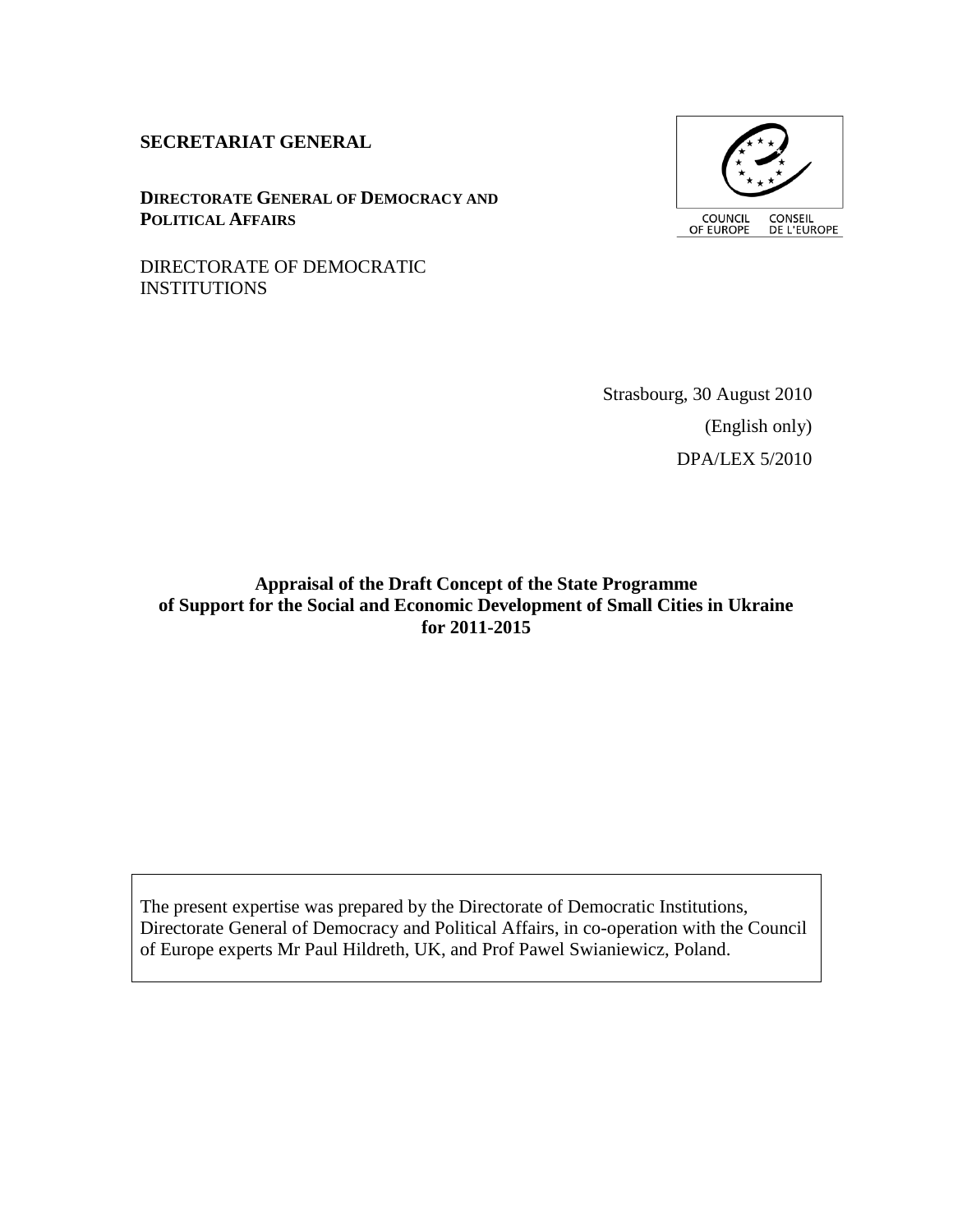#### **SECRETARIAT GENERAL**

**DIRECTORATE GENERAL OF DEMOCRACY AND POLITICAL AFFAIRS**



DIRECTORATE OF DEMOCRATIC INSTITUTIONS

> Strasbourg, 30 August 2010 (English only) DPA/LEX 5/2010

**Appraisal of the Draft Concept of the State Programme of Support for the Social and Economic Development of Small Cities in Ukraine for 2011-2015**

The present expertise was prepared by the Directorate of Democratic Institutions, Directorate General of Democracy and Political Affairs, in co-operation with the Council of Europe experts Mr Paul Hildreth, UK, and Prof Pawel Swianiewicz, Poland.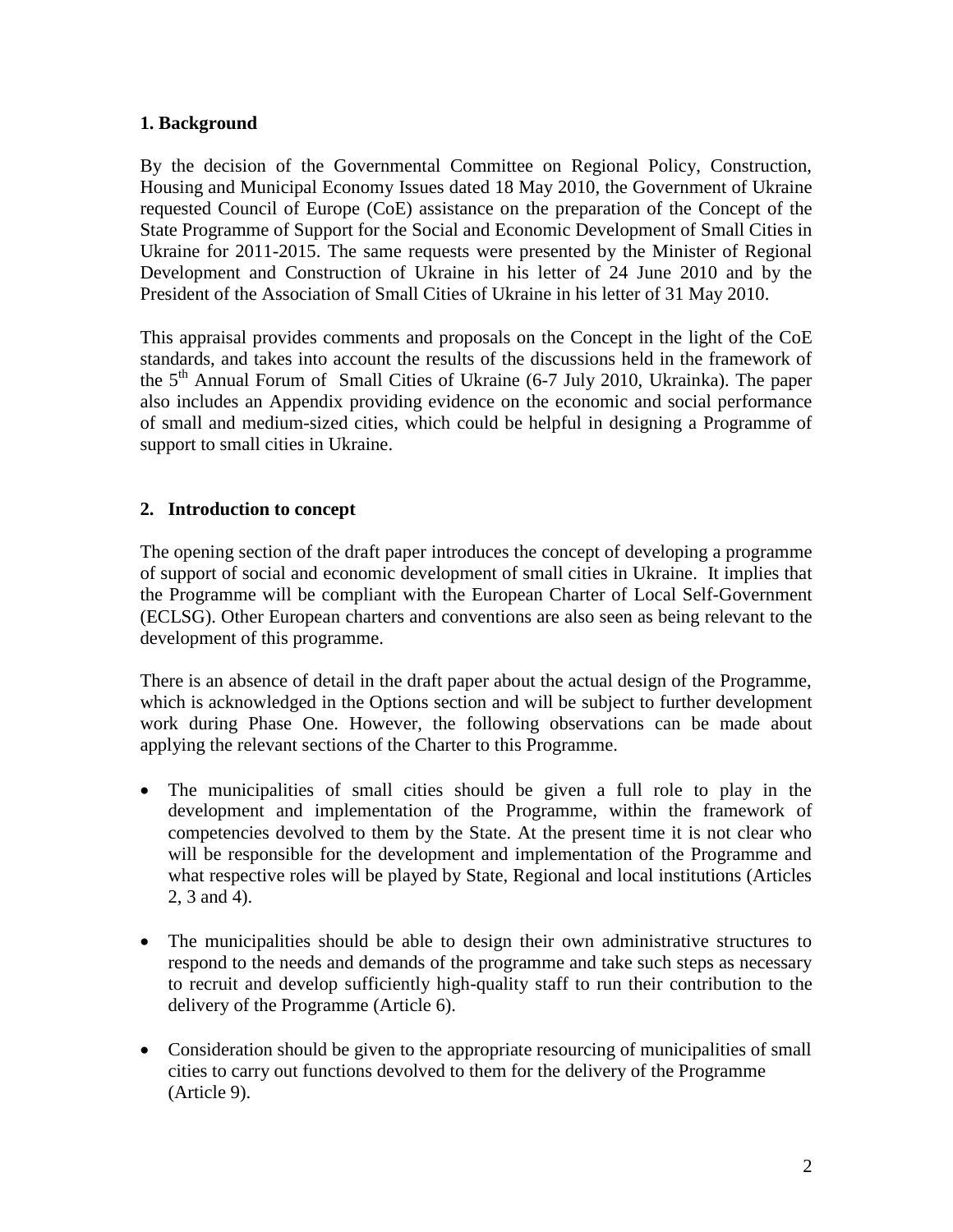## **1. Background**

By the decision of the Governmental Committee on Regional Policy, Construction, Housing and Municipal Economy Issues dated 18 May 2010, the Government of Ukraine requested Council of Europe (CoE) assistance on the preparation of the Concept of the State Programme of Support for the Social and Economic Development of Small Cities in Ukraine for 2011-2015. The same requests were presented by the Minister of Regional Development and Construction of Ukraine in his letter of 24 June 2010 and by the President of the Association of Small Cities of Ukraine in his letter of 31 May 2010.

This appraisal provides comments and proposals on the Concept in the light of the CoE standards, and takes into account the results of the discussions held in the framework of the  $5<sup>th</sup>$  Annual Forum of Small Cities of Ukraine (6-7 July 2010, Ukrainka). The paper also includes an Appendix providing evidence on the economic and social performance of small and medium-sized cities, which could be helpful in designing a Programme of support to small cities in Ukraine.

## **2. Introduction to concept**

The opening section of the draft paper introduces the concept of developing a programme of support of social and economic development of small cities in Ukraine. It implies that the Programme will be compliant with the European Charter of Local Self-Government (ECLSG). Other European charters and conventions are also seen as being relevant to the development of this programme.

There is an absence of detail in the draft paper about the actual design of the Programme, which is acknowledged in the Options section and will be subject to further development work during Phase One. However, the following observations can be made about applying the relevant sections of the Charter to this Programme.

- The municipalities of small cities should be given a full role to play in the development and implementation of the Programme, within the framework of competencies devolved to them by the State. At the present time it is not clear who will be responsible for the development and implementation of the Programme and what respective roles will be played by State, Regional and local institutions (Articles 2, 3 and 4).
- The municipalities should be able to design their own administrative structures to respond to the needs and demands of the programme and take such steps as necessary to recruit and develop sufficiently high-quality staff to run their contribution to the delivery of the Programme (Article 6).
- Consideration should be given to the appropriate resourcing of municipalities of small cities to carry out functions devolved to them for the delivery of the Programme (Article 9).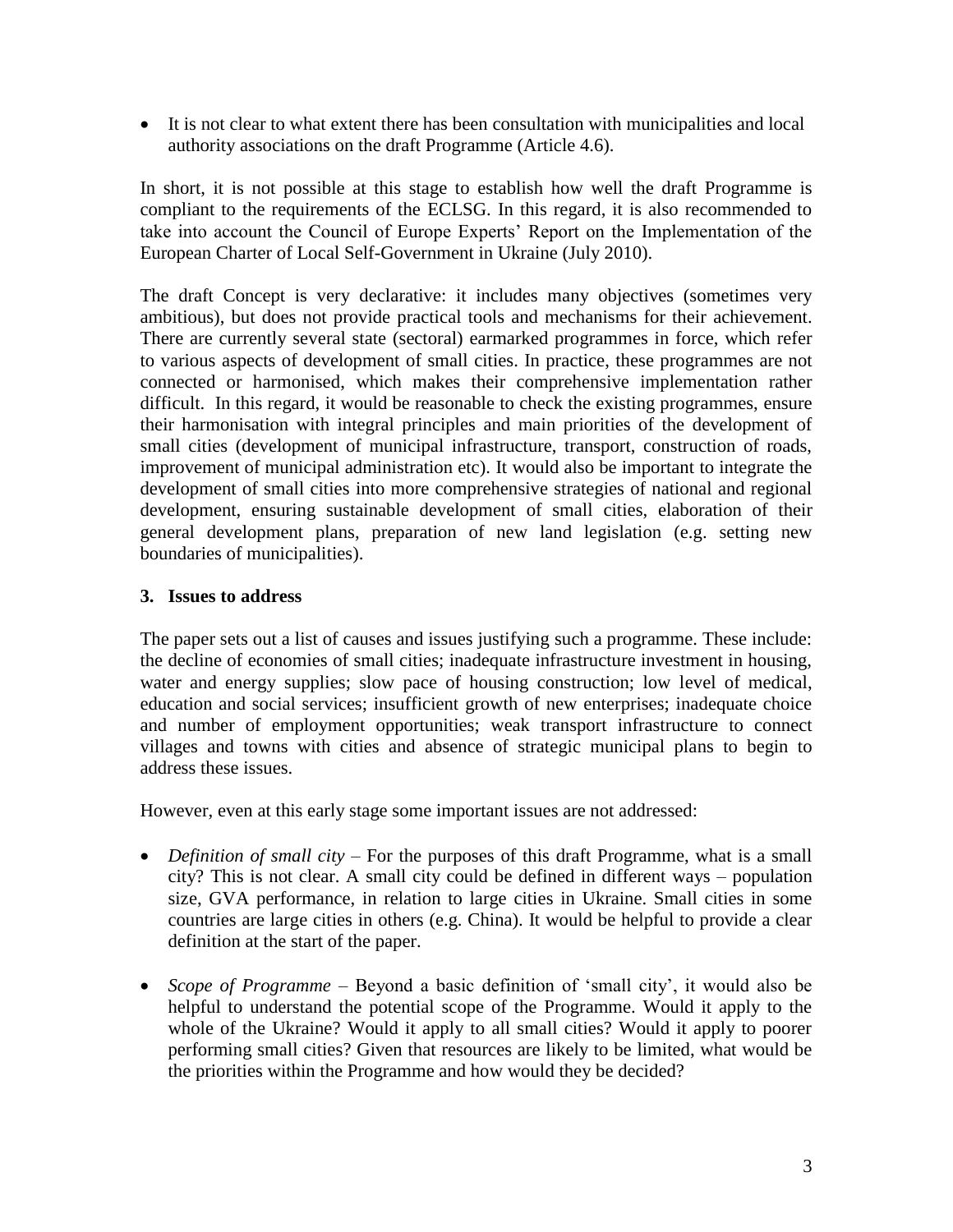It is not clear to what extent there has been consultation with municipalities and local authority associations on the draft Programme (Article 4.6).

In short, it is not possible at this stage to establish how well the draft Programme is compliant to the requirements of the ECLSG. In this regard, it is also recommended to take into account the Council of Europe Experts" Report on the Implementation of the European Charter of Local Self-Government in Ukraine (July 2010).

The draft Concept is very declarative: it includes many objectives (sometimes very ambitious), but does not provide practical tools and mechanisms for their achievement. There are currently several state (sectoral) earmarked programmes in force, which refer to various aspects of development of small cities. In practice, these programmes are not connected or harmonised, which makes their comprehensive implementation rather difficult. In this regard, it would be reasonable to check the existing programmes, ensure their harmonisation with integral principles and main priorities of the development of small cities (development of municipal infrastructure, transport, construction of roads, improvement of municipal administration etc). It would also be important to integrate the development of small cities into more comprehensive strategies of national and regional development, ensuring sustainable development of small cities, elaboration of their general development plans, preparation of new land legislation (e.g. setting new boundaries of municipalities).

## **3. Issues to address**

The paper sets out a list of causes and issues justifying such a programme. These include: the decline of economies of small cities; inadequate infrastructure investment in housing, water and energy supplies; slow pace of housing construction; low level of medical, education and social services; insufficient growth of new enterprises; inadequate choice and number of employment opportunities; weak transport infrastructure to connect villages and towns with cities and absence of strategic municipal plans to begin to address these issues.

However, even at this early stage some important issues are not addressed:

- *Definition of small city* For the purposes of this draft Programme, what is a small city? This is not clear. A small city could be defined in different ways – population size, GVA performance, in relation to large cities in Ukraine. Small cities in some countries are large cities in others (e.g. China). It would be helpful to provide a clear definition at the start of the paper.
- *Scope of Programme* Beyond a basic definition of 'small city', it would also be helpful to understand the potential scope of the Programme. Would it apply to the whole of the Ukraine? Would it apply to all small cities? Would it apply to poorer performing small cities? Given that resources are likely to be limited, what would be the priorities within the Programme and how would they be decided?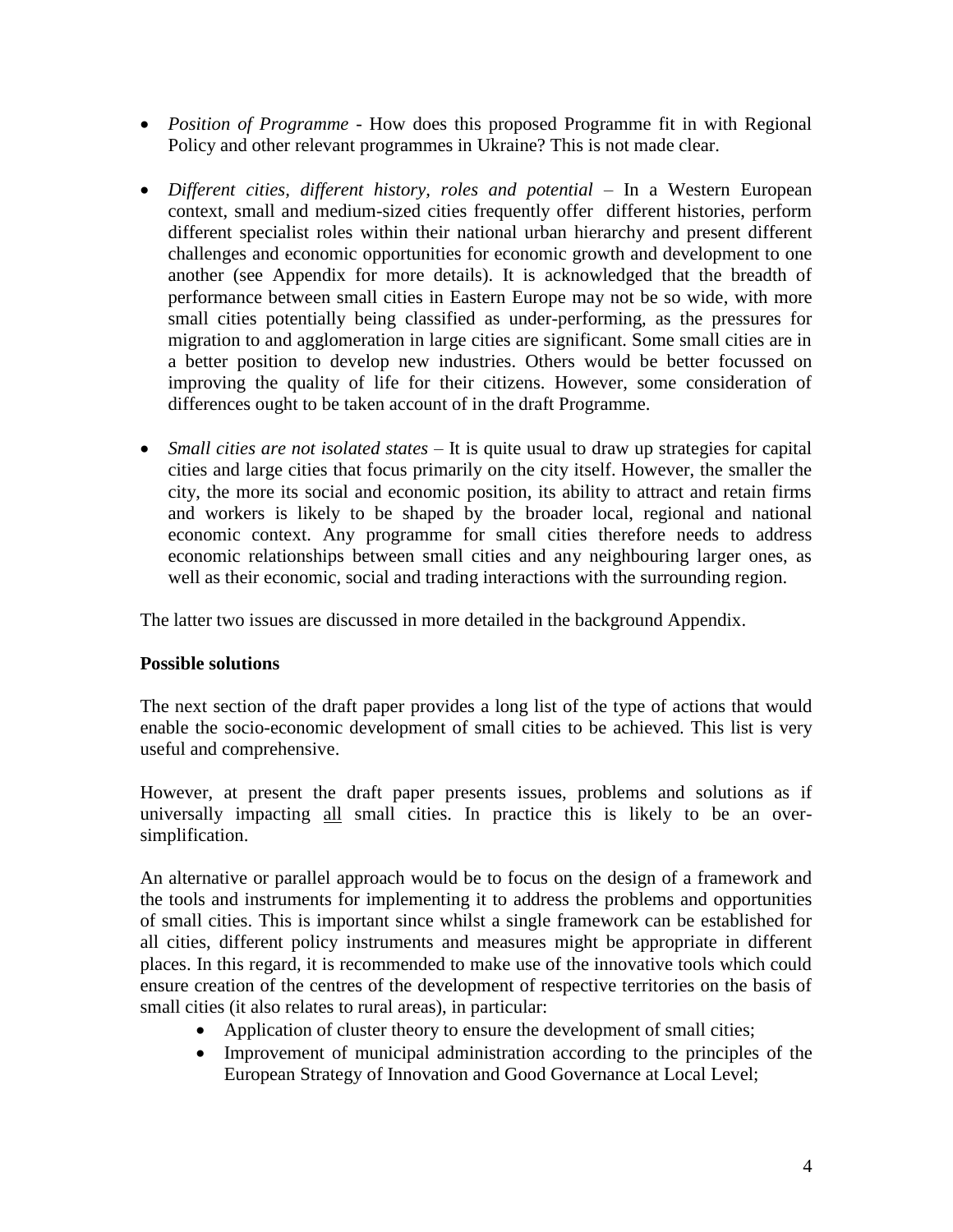- *Position of Programme*  How does this proposed Programme fit in with Regional Policy and other relevant programmes in Ukraine? This is not made clear.
- Different cities, different history, roles and potential In a Western European context, small and medium-sized cities frequently offer different histories, perform different specialist roles within their national urban hierarchy and present different challenges and economic opportunities for economic growth and development to one another (see Appendix for more details). It is acknowledged that the breadth of performance between small cities in Eastern Europe may not be so wide, with more small cities potentially being classified as under-performing, as the pressures for migration to and agglomeration in large cities are significant. Some small cities are in a better position to develop new industries. Others would be better focussed on improving the quality of life for their citizens. However, some consideration of differences ought to be taken account of in the draft Programme.
- *Small cities are not isolated states* It is quite usual to draw up strategies for capital cities and large cities that focus primarily on the city itself. However, the smaller the city, the more its social and economic position, its ability to attract and retain firms and workers is likely to be shaped by the broader local, regional and national economic context. Any programme for small cities therefore needs to address economic relationships between small cities and any neighbouring larger ones, as well as their economic, social and trading interactions with the surrounding region.

The latter two issues are discussed in more detailed in the background Appendix.

## **Possible solutions**

The next section of the draft paper provides a long list of the type of actions that would enable the socio-economic development of small cities to be achieved. This list is very useful and comprehensive.

However, at present the draft paper presents issues, problems and solutions as if universally impacting all small cities. In practice this is likely to be an oversimplification.

An alternative or parallel approach would be to focus on the design of a framework and the tools and instruments for implementing it to address the problems and opportunities of small cities. This is important since whilst a single framework can be established for all cities, different policy instruments and measures might be appropriate in different places. In this regard, it is recommended to make use of the innovative tools which could ensure creation of the centres of the development of respective territories on the basis of small cities (it also relates to rural areas), in particular:

- Application of cluster theory to ensure the development of small cities;
- Improvement of municipal administration according to the principles of the European Strategy of Innovation and Good Governance at Local Level;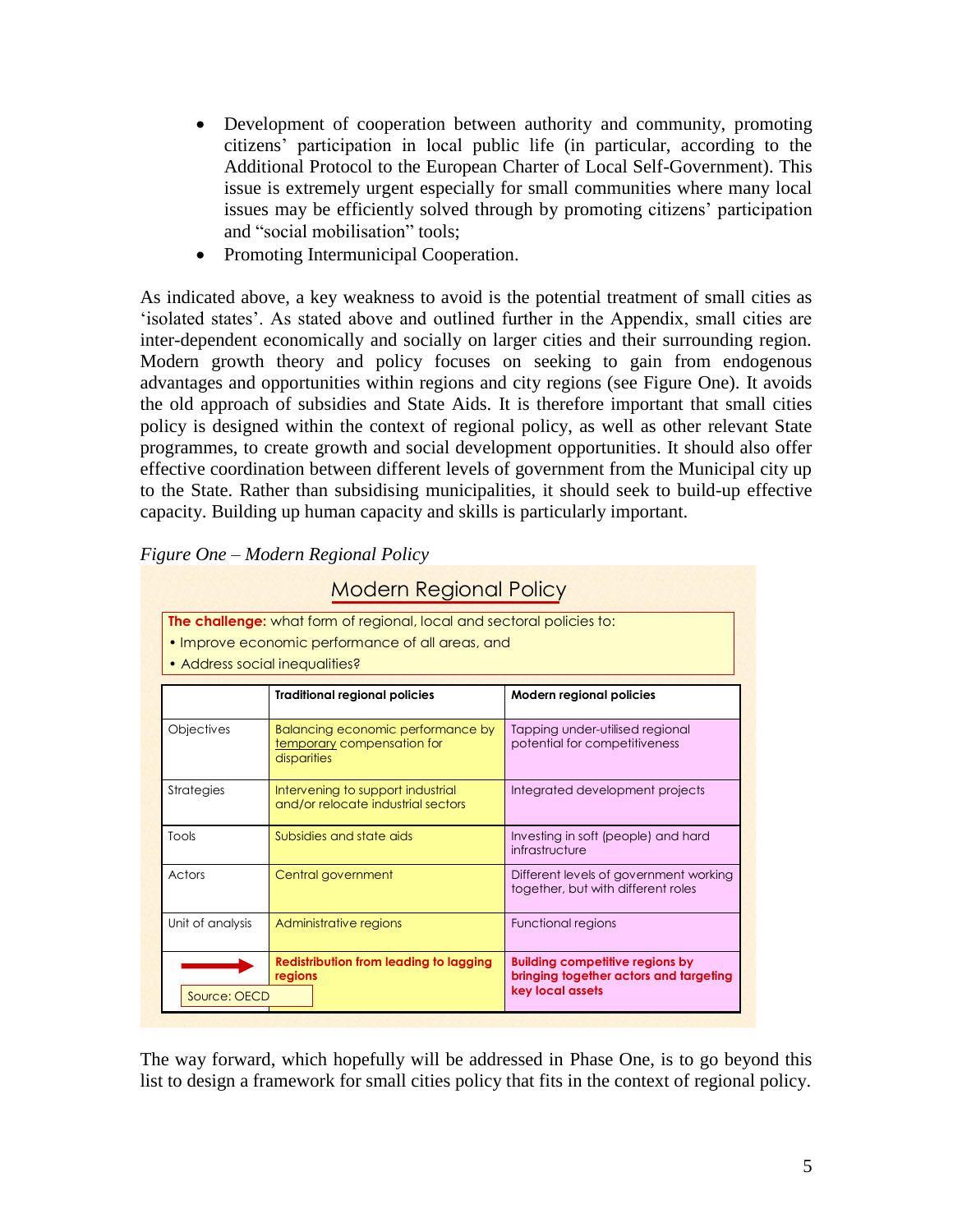- Development of cooperation between authority and community, promoting citizens" participation in local public life (in particular, according to the Additional Protocol to the European Charter of Local Self-Government). This issue is extremely urgent especially for small communities where many local issues may be efficiently solved through by promoting citizens' participation and "social mobilisation" tools;
- Promoting Intermunicipal Cooperation.

As indicated above, a key weakness to avoid is the potential treatment of small cities as "isolated states". As stated above and outlined further in the Appendix, small cities are inter-dependent economically and socially on larger cities and their surrounding region. Modern growth theory and policy focuses on seeking to gain from endogenous advantages and opportunities within regions and city regions (see Figure One). It avoids the old approach of subsidies and State Aids. It is therefore important that small cities policy is designed within the context of regional policy, as well as other relevant State programmes, to create growth and social development opportunities. It should also offer effective coordination between different levels of government from the Municipal city up to the State. Rather than subsidising municipalities, it should seek to build-up effective capacity. Building up human capacity and skills is particularly important.

| <b>Modern Regional Policy</b>                                                                                                                                      |                                                                                |                                                                                                      |
|--------------------------------------------------------------------------------------------------------------------------------------------------------------------|--------------------------------------------------------------------------------|------------------------------------------------------------------------------------------------------|
| <b>The challenge:</b> what form of regional, local and sectoral policies to:<br>• Improve economic performance of all areas, and<br>• Address social inequalities? |                                                                                |                                                                                                      |
|                                                                                                                                                                    | <b>Traditional regional policies</b>                                           | <b>Modern regional policies</b>                                                                      |
| <b>Objectives</b>                                                                                                                                                  | Balancing economic performance by<br>temporary compensation for<br>disparities | Tapping under-utilised regional<br>potential for competitiveness                                     |
| Strategies                                                                                                                                                         | Intervening to support industrial<br>and/or relocate industrial sectors        | Integrated development projects                                                                      |
| Tools                                                                                                                                                              | Subsidies and state aids                                                       | Investing in soft (people) and hard<br>infrastructure                                                |
| Actors                                                                                                                                                             | Central government                                                             | Different levels of government working<br>together, but with different roles                         |
| Unit of analysis                                                                                                                                                   | Administrative regions                                                         | Functional regions                                                                                   |
| Source: OECD                                                                                                                                                       | <b>Redistribution from leading to lagging</b><br>regions                       | <b>Building competitive regions by</b><br>bringing together actors and targeting<br>key local assets |

*Figure One – Modern Regional Policy*

The way forward, which hopefully will be addressed in Phase One, is to go beyond this list to design a framework for small cities policy that fits in the context of regional policy.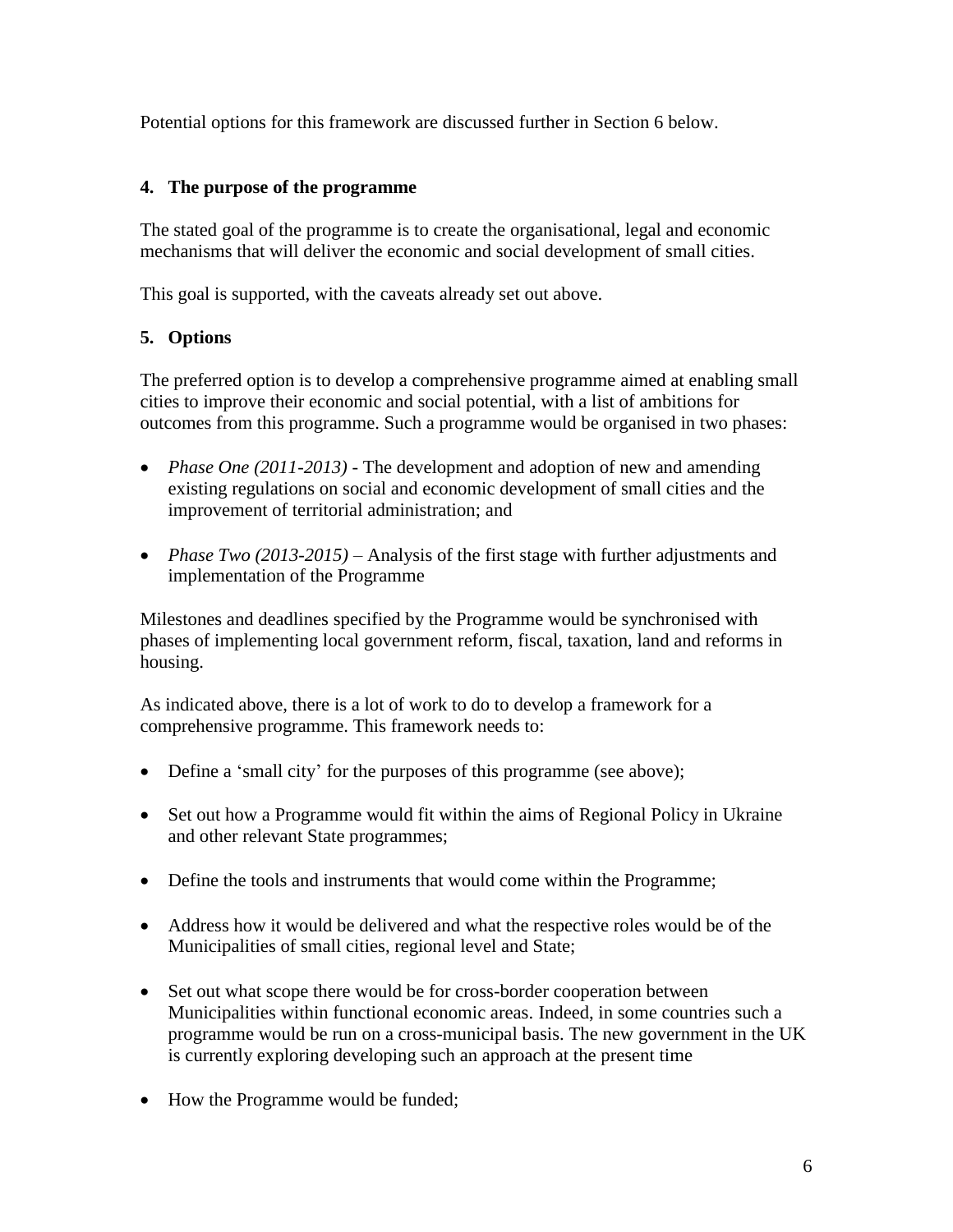Potential options for this framework are discussed further in Section 6 below.

# **4. The purpose of the programme**

The stated goal of the programme is to create the organisational, legal and economic mechanisms that will deliver the economic and social development of small cities.

This goal is supported, with the caveats already set out above.

# **5. Options**

The preferred option is to develop a comprehensive programme aimed at enabling small cities to improve their economic and social potential, with a list of ambitions for outcomes from this programme. Such a programme would be organised in two phases:

- *Phase One (2011-2013)* The development and adoption of new and amending existing regulations on social and economic development of small cities and the improvement of territorial administration; and
- *Phase Two (2013-2015)* Analysis of the first stage with further adjustments and implementation of the Programme

Milestones and deadlines specified by the Programme would be synchronised with phases of implementing local government reform, fiscal, taxation, land and reforms in housing.

As indicated above, there is a lot of work to do to develop a framework for a comprehensive programme. This framework needs to:

- Define a 'small city' for the purposes of this programme (see above);
- Set out how a Programme would fit within the aims of Regional Policy in Ukraine and other relevant State programmes;
- Define the tools and instruments that would come within the Programme;
- Address how it would be delivered and what the respective roles would be of the Municipalities of small cities, regional level and State;
- Set out what scope there would be for cross-border cooperation between Municipalities within functional economic areas. Indeed, in some countries such a programme would be run on a cross-municipal basis. The new government in the UK is currently exploring developing such an approach at the present time
- How the Programme would be funded;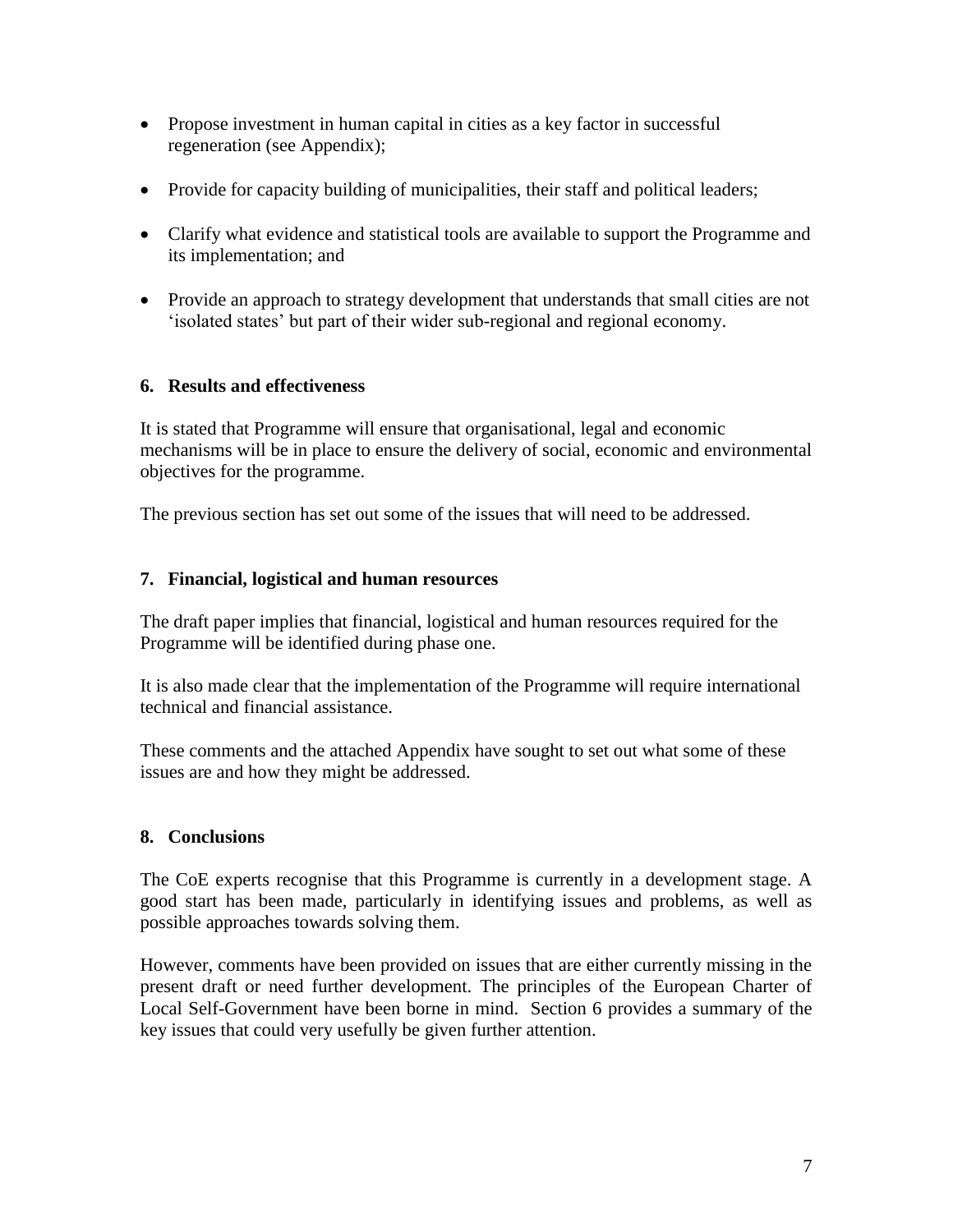- Propose investment in human capital in cities as a key factor in successful regeneration (see Appendix);
- Provide for capacity building of municipalities, their staff and political leaders;
- Clarify what evidence and statistical tools are available to support the Programme and its implementation; and
- Provide an approach to strategy development that understands that small cities are not "isolated states" but part of their wider sub-regional and regional economy.

## **6. Results and effectiveness**

It is stated that Programme will ensure that organisational, legal and economic mechanisms will be in place to ensure the delivery of social, economic and environmental objectives for the programme.

The previous section has set out some of the issues that will need to be addressed.

## **7. Financial, logistical and human resources**

The draft paper implies that financial, logistical and human resources required for the Programme will be identified during phase one.

It is also made clear that the implementation of the Programme will require international technical and financial assistance.

These comments and the attached Appendix have sought to set out what some of these issues are and how they might be addressed.

## **8. Conclusions**

The CoE experts recognise that this Programme is currently in a development stage. A good start has been made, particularly in identifying issues and problems, as well as possible approaches towards solving them.

However, comments have been provided on issues that are either currently missing in the present draft or need further development. The principles of the European Charter of Local Self-Government have been borne in mind. Section 6 provides a summary of the key issues that could very usefully be given further attention.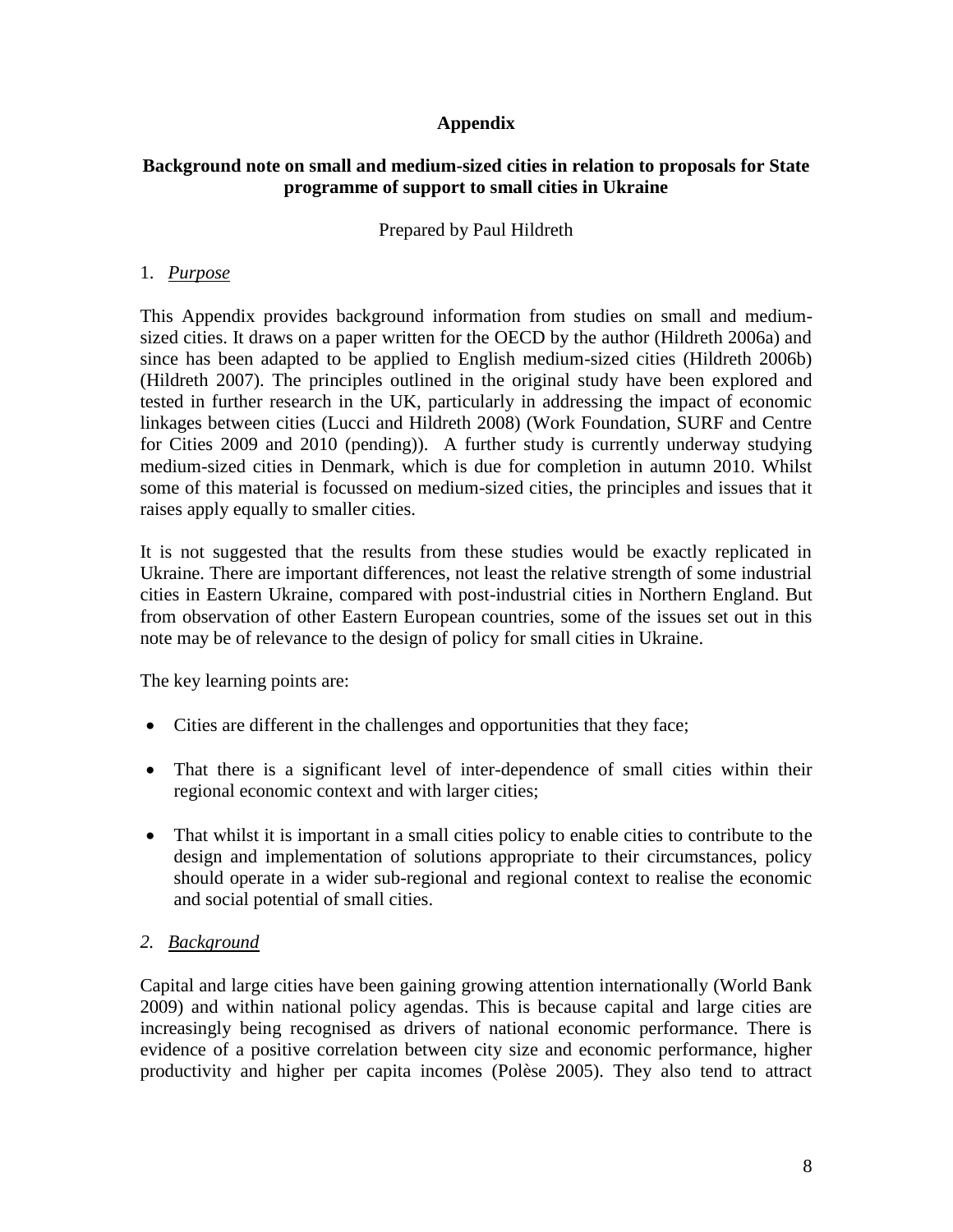#### **Appendix**

#### **Background note on small and medium-sized cities in relation to proposals for State programme of support to small cities in Ukraine**

#### Prepared by Paul Hildreth

#### 1. *Purpose*

This Appendix provides background information from studies on small and mediumsized cities. It draws on a paper written for the OECD by the author (Hildreth 2006a) and since has been adapted to be applied to English medium-sized cities (Hildreth 2006b) (Hildreth 2007). The principles outlined in the original study have been explored and tested in further research in the UK, particularly in addressing the impact of economic linkages between cities (Lucci and Hildreth 2008) (Work Foundation, SURF and Centre for Cities 2009 and 2010 (pending)). A further study is currently underway studying medium-sized cities in Denmark, which is due for completion in autumn 2010. Whilst some of this material is focussed on medium-sized cities, the principles and issues that it raises apply equally to smaller cities.

It is not suggested that the results from these studies would be exactly replicated in Ukraine. There are important differences, not least the relative strength of some industrial cities in Eastern Ukraine, compared with post-industrial cities in Northern England. But from observation of other Eastern European countries, some of the issues set out in this note may be of relevance to the design of policy for small cities in Ukraine.

The key learning points are:

- Cities are different in the challenges and opportunities that they face;
- That there is a significant level of inter-dependence of small cities within their regional economic context and with larger cities;
- That whilst it is important in a small cities policy to enable cities to contribute to the design and implementation of solutions appropriate to their circumstances, policy should operate in a wider sub-regional and regional context to realise the economic and social potential of small cities.

## *2. Background*

Capital and large cities have been gaining growing attention internationally (World Bank 2009) and within national policy agendas. This is because capital and large cities are increasingly being recognised as drivers of national economic performance. There is evidence of a positive correlation between city size and economic performance, higher productivity and higher per capita incomes (Polèse 2005). They also tend to attract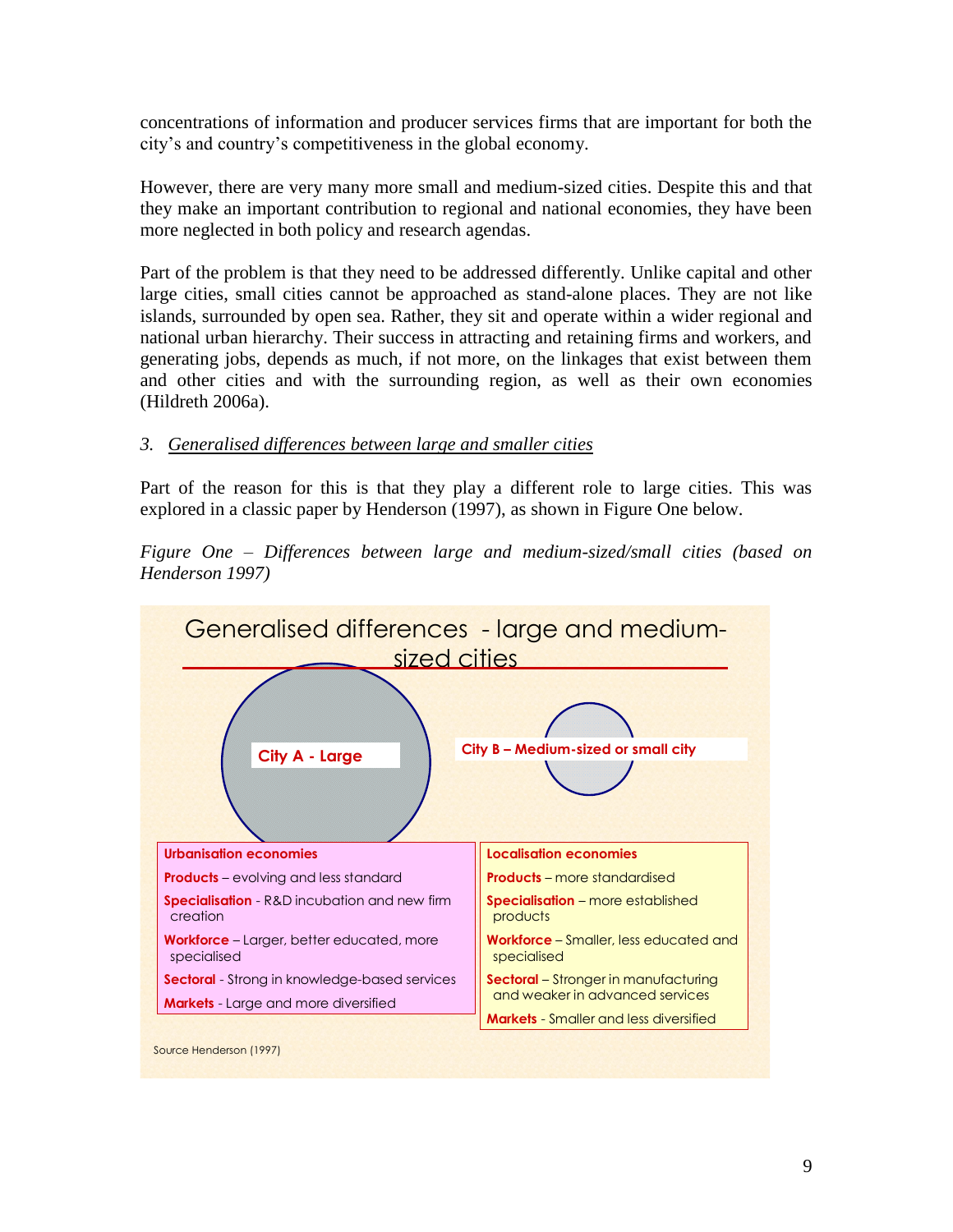concentrations of information and producer services firms that are important for both the city"s and country"s competitiveness in the global economy.

However, there are very many more small and medium-sized cities. Despite this and that they make an important contribution to regional and national economies, they have been more neglected in both policy and research agendas.

Part of the problem is that they need to be addressed differently. Unlike capital and other large cities, small cities cannot be approached as stand-alone places. They are not like islands, surrounded by open sea. Rather, they sit and operate within a wider regional and national urban hierarchy. Their success in attracting and retaining firms and workers, and generating jobs, depends as much, if not more, on the linkages that exist between them and other cities and with the surrounding region, as well as their own economies (Hildreth 2006a).

## *3. Generalised differences between large and smaller cities*

Part of the reason for this is that they play a different role to large cities. This was explored in a classic paper by Henderson (1997), as shown in Figure One below.



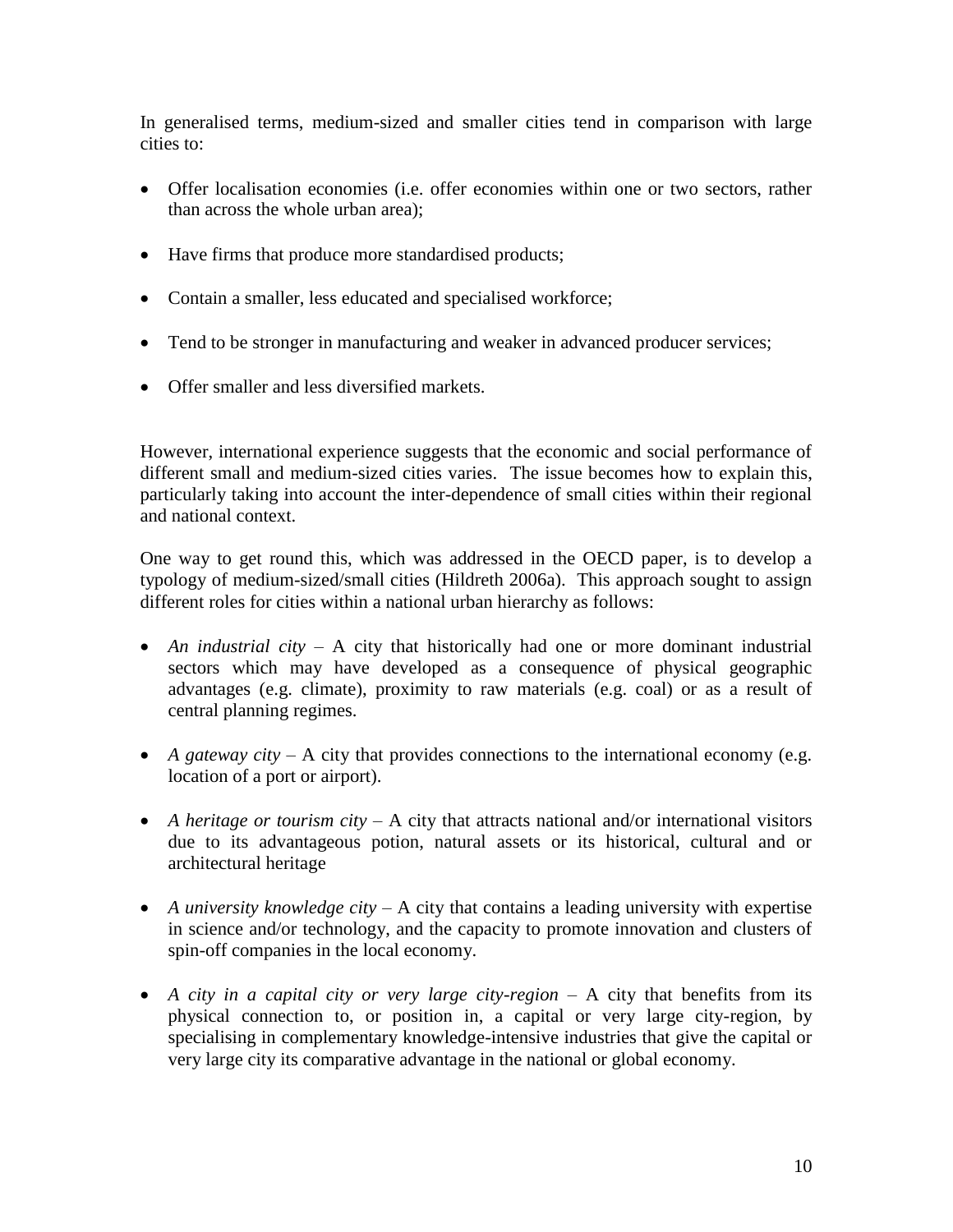In generalised terms, medium-sized and smaller cities tend in comparison with large cities to:

- Offer localisation economies (i.e. offer economies within one or two sectors, rather than across the whole urban area);
- Have firms that produce more standardised products;
- Contain a smaller, less educated and specialised workforce;
- Tend to be stronger in manufacturing and weaker in advanced producer services;
- Offer smaller and less diversified markets.

However, international experience suggests that the economic and social performance of different small and medium-sized cities varies. The issue becomes how to explain this, particularly taking into account the inter-dependence of small cities within their regional and national context.

One way to get round this, which was addressed in the OECD paper, is to develop a typology of medium-sized/small cities (Hildreth 2006a). This approach sought to assign different roles for cities within a national urban hierarchy as follows:

- *An industrial city* A city that historically had one or more dominant industrial sectors which may have developed as a consequence of physical geographic advantages (e.g. climate), proximity to raw materials (e.g. coal) or as a result of central planning regimes.
- *A gateway city* A city that provides connections to the international economy (e.g. location of a port or airport).
- *A heritage or tourism city* A city that attracts national and/or international visitors due to its advantageous potion, natural assets or its historical, cultural and or architectural heritage
- *A university knowledge city* A city that contains a leading university with expertise in science and/or technology, and the capacity to promote innovation and clusters of spin-off companies in the local economy.
- *A city in a capital city or very large city-region* A city that benefits from its physical connection to, or position in, a capital or very large city-region, by specialising in complementary knowledge-intensive industries that give the capital or very large city its comparative advantage in the national or global economy.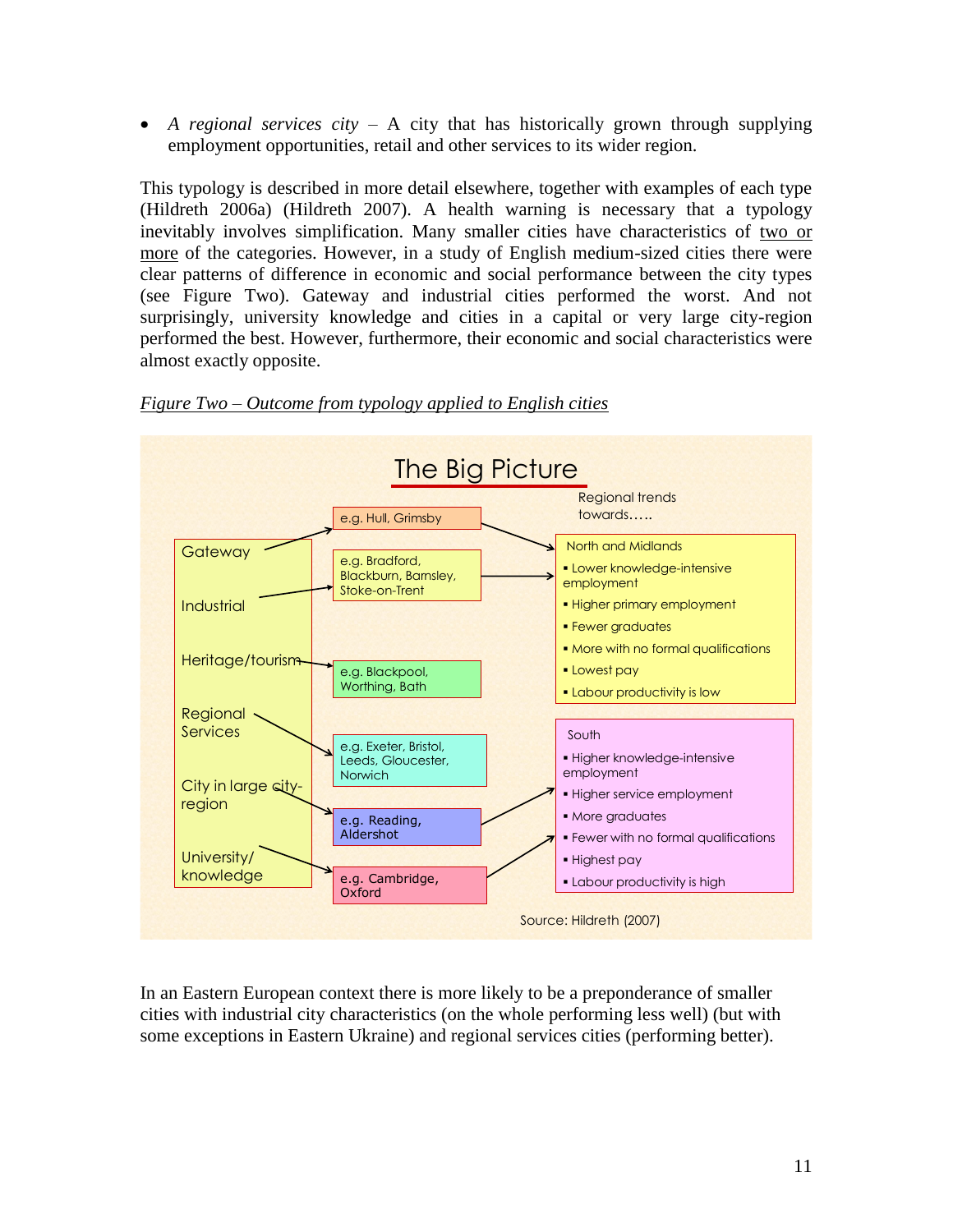*A regional services city* – A city that has historically grown through supplying employment opportunities, retail and other services to its wider region.

This typology is described in more detail elsewhere, together with examples of each type (Hildreth 2006a) (Hildreth 2007). A health warning is necessary that a typology inevitably involves simplification. Many smaller cities have characteristics of two or more of the categories. However, in a study of English medium-sized cities there were clear patterns of difference in economic and social performance between the city types (see Figure Two). Gateway and industrial cities performed the worst. And not surprisingly, university knowledge and cities in a capital or very large city-region performed the best. However, furthermore, their economic and social characteristics were almost exactly opposite.



*Figure Two – Outcome from typology applied to English cities*

In an Eastern European context there is more likely to be a preponderance of smaller cities with industrial city characteristics (on the whole performing less well) (but with some exceptions in Eastern Ukraine) and regional services cities (performing better).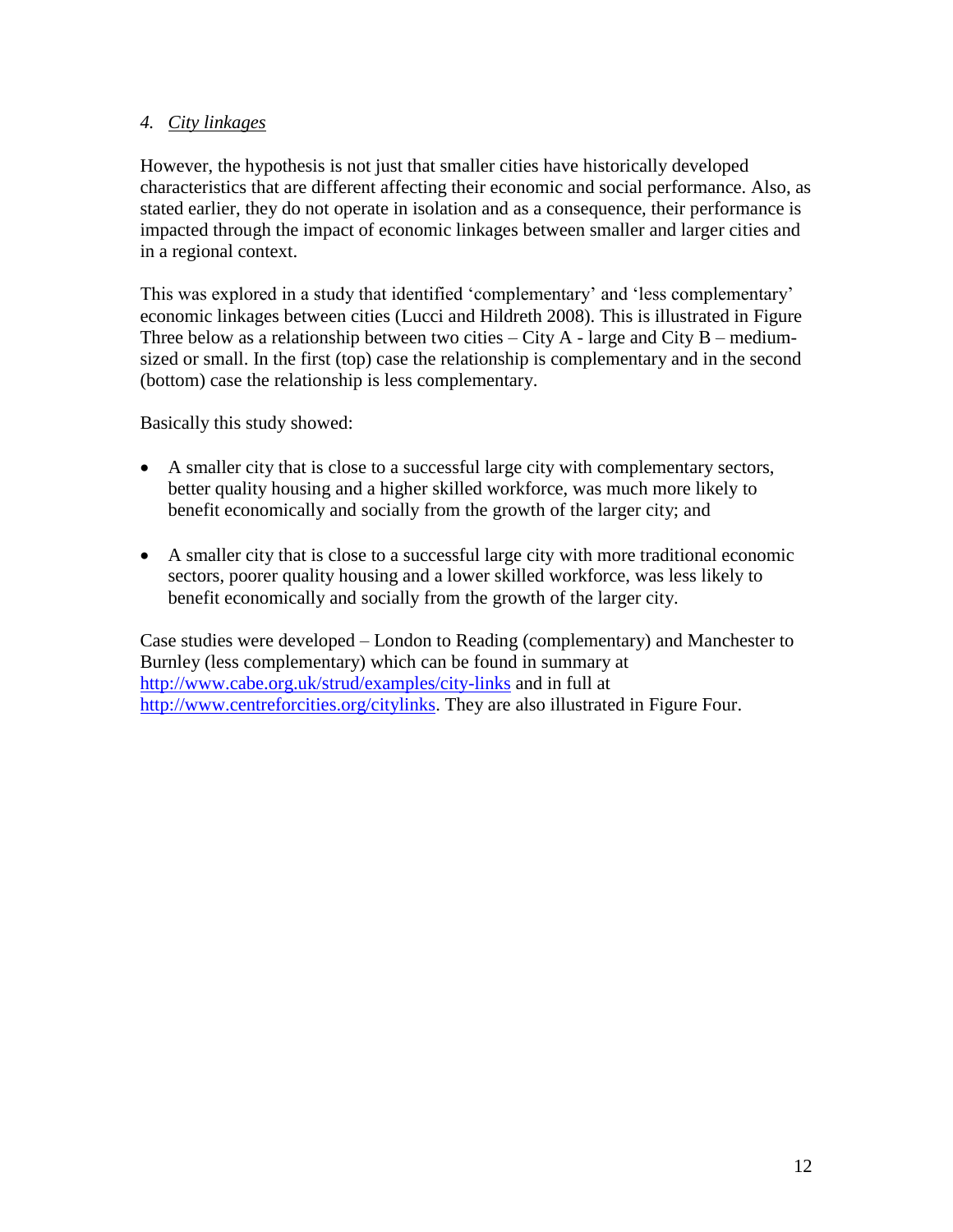## *4. City linkages*

However, the hypothesis is not just that smaller cities have historically developed characteristics that are different affecting their economic and social performance. Also, as stated earlier, they do not operate in isolation and as a consequence, their performance is impacted through the impact of economic linkages between smaller and larger cities and in a regional context.

This was explored in a study that identified 'complementary' and 'less complementary' economic linkages between cities (Lucci and Hildreth 2008). This is illustrated in Figure Three below as a relationship between two cities  $-$  City A - large and City B – mediumsized or small. In the first (top) case the relationship is complementary and in the second (bottom) case the relationship is less complementary.

Basically this study showed:

- A smaller city that is close to a successful large city with complementary sectors, better quality housing and a higher skilled workforce, was much more likely to benefit economically and socially from the growth of the larger city; and
- A smaller city that is close to a successful large city with more traditional economic sectors, poorer quality housing and a lower skilled workforce, was less likely to benefit economically and socially from the growth of the larger city.

Case studies were developed – London to Reading (complementary) and Manchester to Burnley (less complementary) which can be found in summary at <http://www.cabe.org.uk/strud/examples/city-links> and in full at [http://www.centreforcities.org/citylinks.](http://www.centreforcities.org/citylinks) They are also illustrated in Figure Four.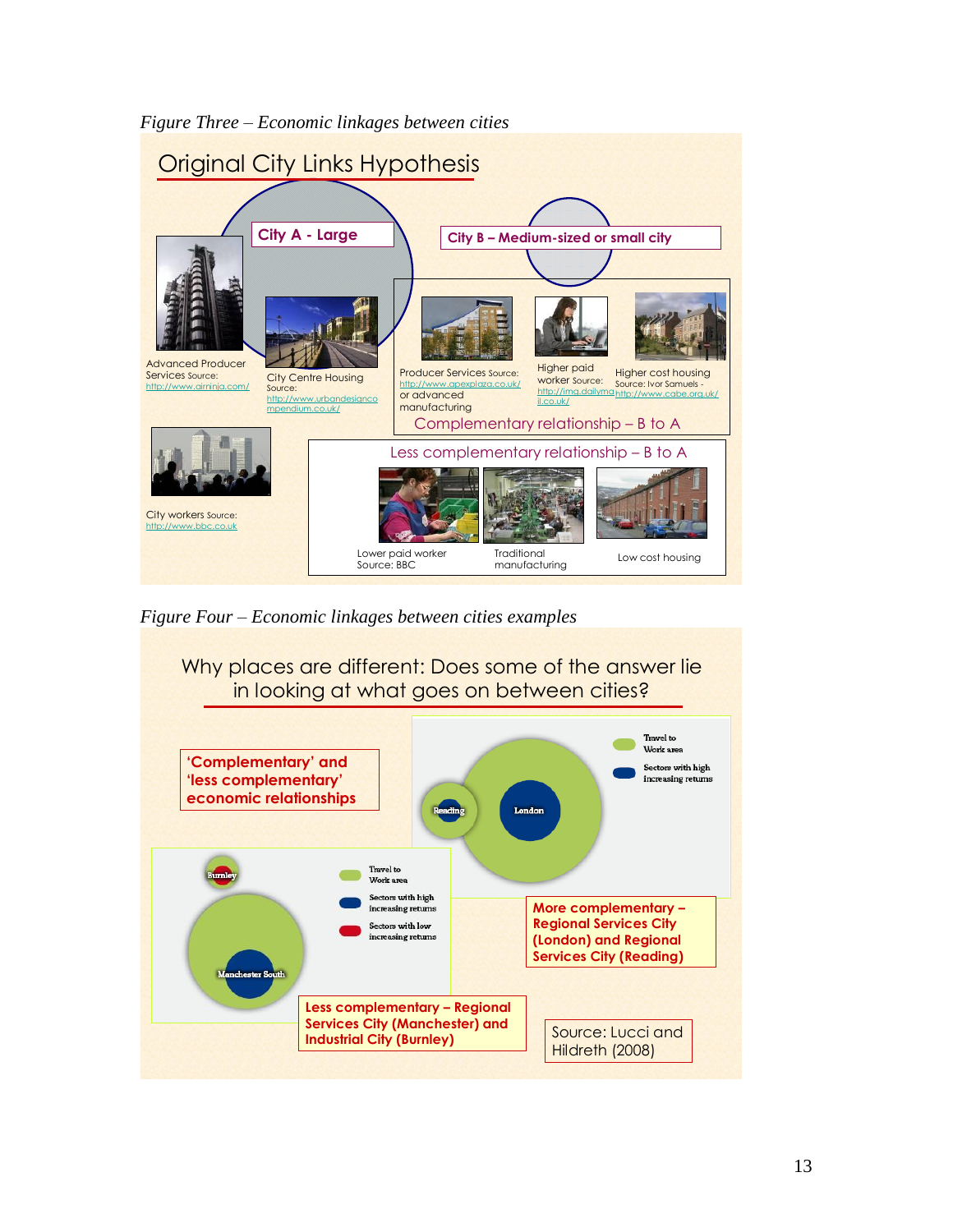

*Figure Three – Economic linkages between cities*

*Figure Four – Economic linkages between cities examples*

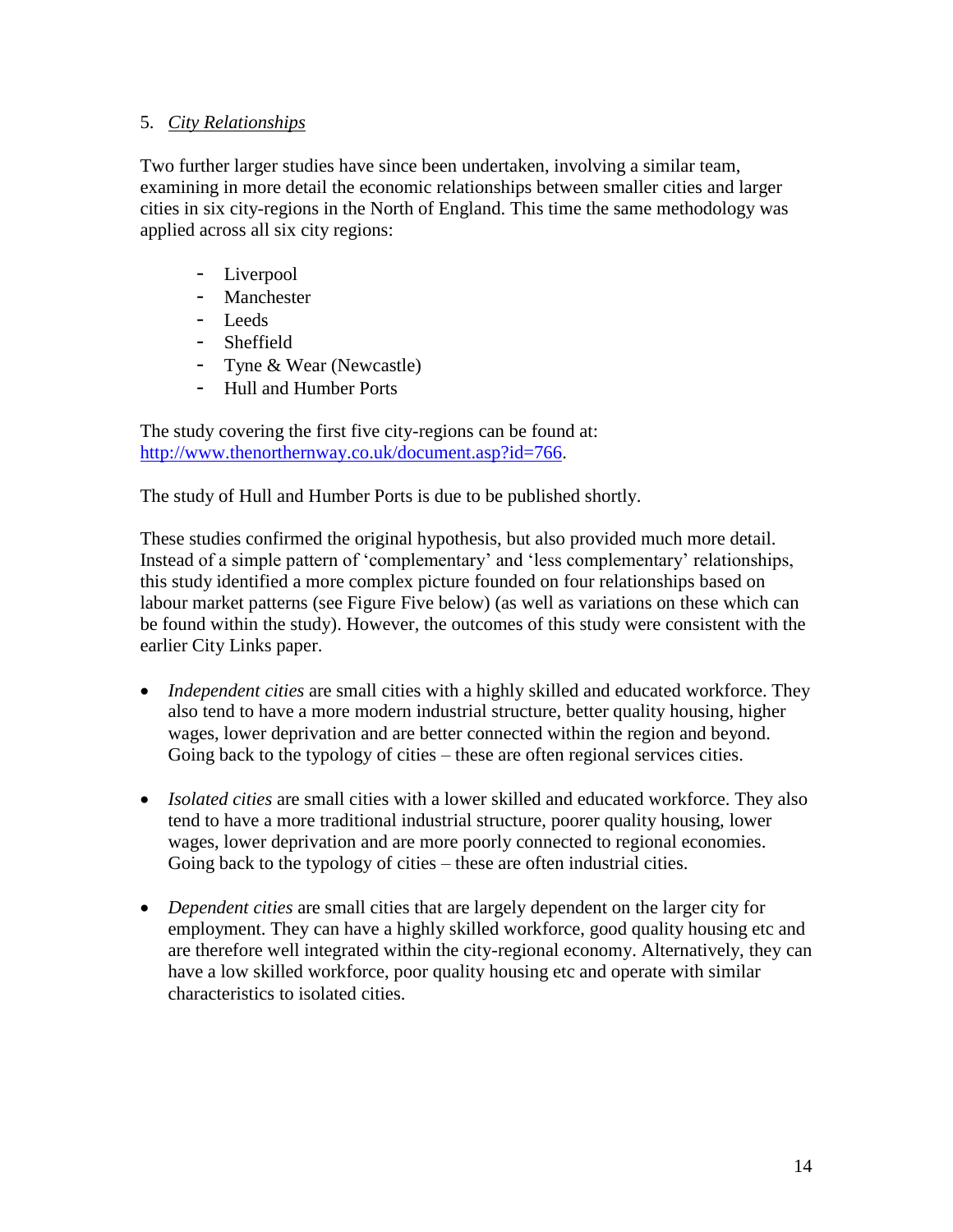#### 5. *City Relationships*

Two further larger studies have since been undertaken, involving a similar team, examining in more detail the economic relationships between smaller cities and larger cities in six city-regions in the North of England. This time the same methodology was applied across all six city regions:

- Liverpool
- Manchester
- Leeds
- Sheffield
- Tyne & Wear (Newcastle)
- Hull and Humber Ports

The study covering the first five city-regions can be found at: [http://www.thenorthernway.co.uk/document.asp?id=766.](http://www.thenorthernway.co.uk/document.asp?id=766)

The study of Hull and Humber Ports is due to be published shortly.

These studies confirmed the original hypothesis, but also provided much more detail. Instead of a simple pattern of "complementary" and "less complementary" relationships, this study identified a more complex picture founded on four relationships based on labour market patterns (see Figure Five below) (as well as variations on these which can be found within the study). However, the outcomes of this study were consistent with the earlier City Links paper.

- *Independent cities* are small cities with a highly skilled and educated workforce. They also tend to have a more modern industrial structure, better quality housing, higher wages, lower deprivation and are better connected within the region and beyond. Going back to the typology of cities – these are often regional services cities.
- *Isolated cities* are small cities with a lower skilled and educated workforce. They also tend to have a more traditional industrial structure, poorer quality housing, lower wages, lower deprivation and are more poorly connected to regional economies. Going back to the typology of cities – these are often industrial cities.
- *Dependent cities* are small cities that are largely dependent on the larger city for employment. They can have a highly skilled workforce, good quality housing etc and are therefore well integrated within the city-regional economy. Alternatively, they can have a low skilled workforce, poor quality housing etc and operate with similar characteristics to isolated cities.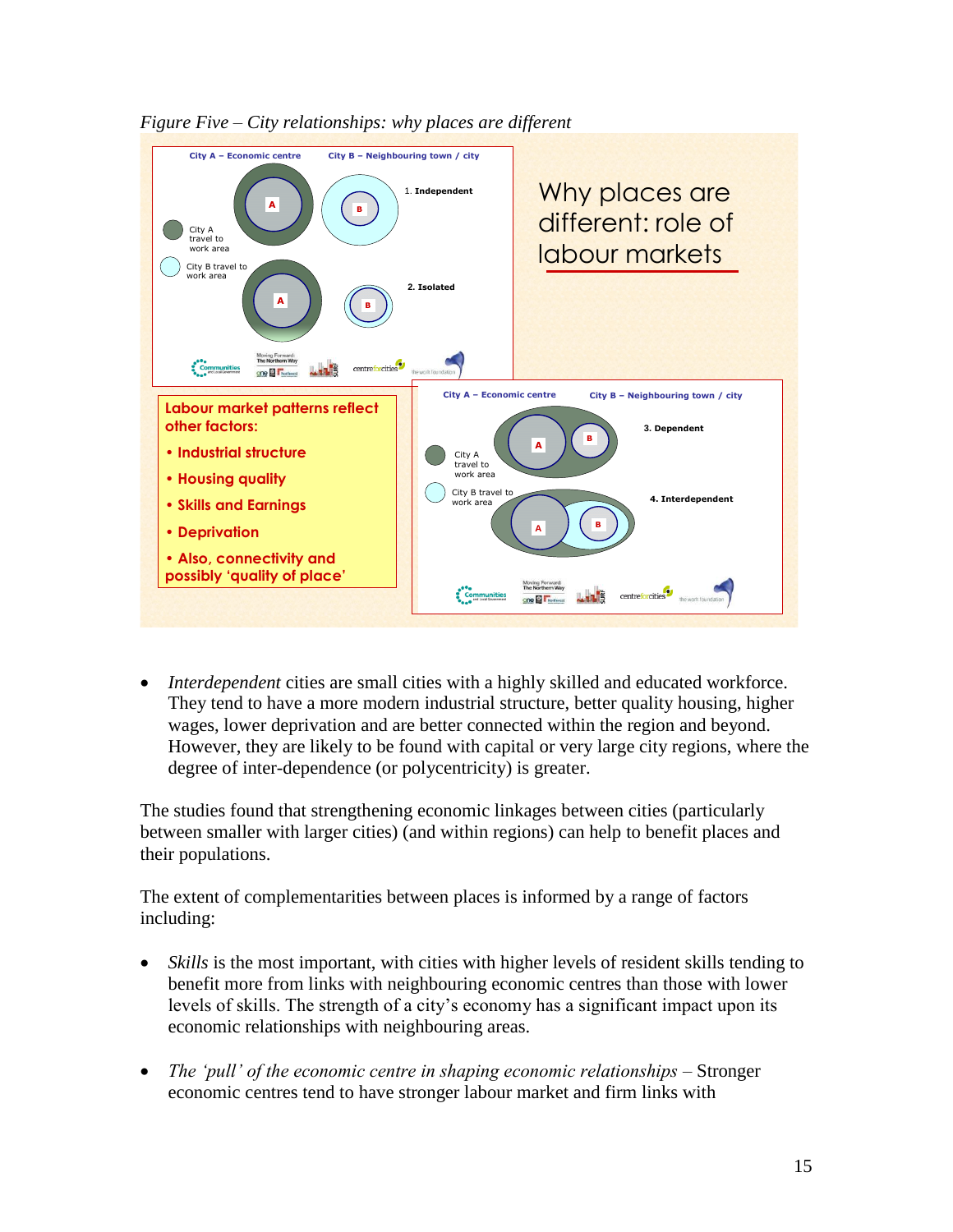

*Figure Five – City relationships: why places are different*

 *Interdependent* cities are small cities with a highly skilled and educated workforce. They tend to have a more modern industrial structure, better quality housing, higher wages, lower deprivation and are better connected within the region and beyond. However, they are likely to be found with capital or very large city regions, where the degree of inter-dependence (or polycentricity) is greater.

The studies found that strengthening economic linkages between cities (particularly between smaller with larger cities) (and within regions) can help to benefit places and their populations.

The extent of complementarities between places is informed by a range of factors including:

- *Skills* is the most important, with cities with higher levels of resident skills tending to benefit more from links with neighbouring economic centres than those with lower levels of skills. The strength of a city's economy has a significant impact upon its economic relationships with neighbouring areas.
- *The 'pull' of the economic centre in shaping economic relationships –* Stronger economic centres tend to have stronger labour market and firm links with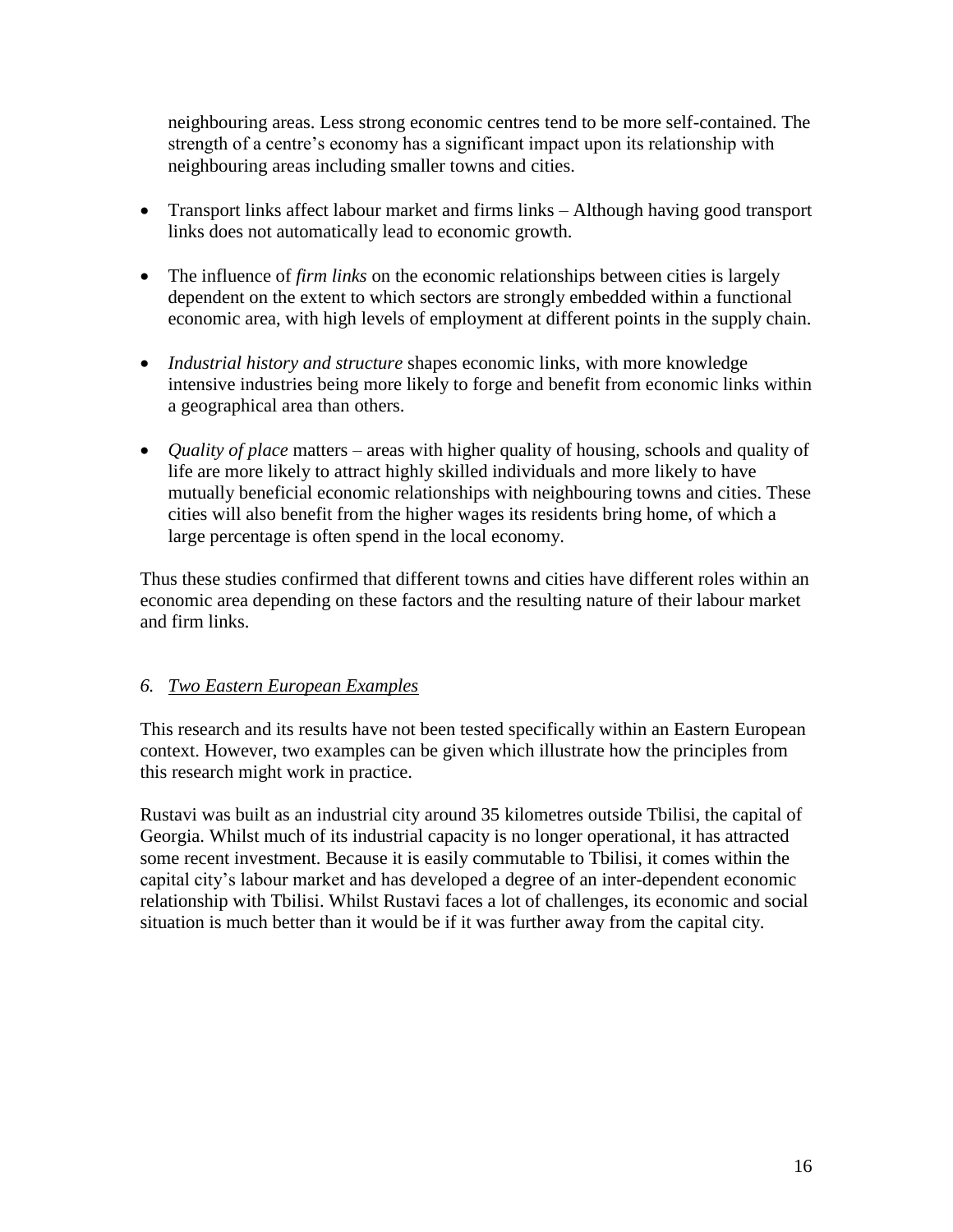neighbouring areas. Less strong economic centres tend to be more self-contained. The strength of a centre's economy has a significant impact upon its relationship with neighbouring areas including smaller towns and cities.

- Transport links affect labour market and firms links Although having good transport links does not automatically lead to economic growth.
- The influence of *firm links* on the economic relationships between cities is largely dependent on the extent to which sectors are strongly embedded within a functional economic area, with high levels of employment at different points in the supply chain.
- *Industrial history and structure* shapes economic links, with more knowledge intensive industries being more likely to forge and benefit from economic links within a geographical area than others.
- *Quality of place* matters areas with higher quality of housing, schools and quality of life are more likely to attract highly skilled individuals and more likely to have mutually beneficial economic relationships with neighbouring towns and cities. These cities will also benefit from the higher wages its residents bring home, of which a large percentage is often spend in the local economy.

Thus these studies confirmed that different towns and cities have different roles within an economic area depending on these factors and the resulting nature of their labour market and firm links.

## *6. Two Eastern European Examples*

This research and its results have not been tested specifically within an Eastern European context. However, two examples can be given which illustrate how the principles from this research might work in practice.

Rustavi was built as an industrial city around 35 kilometres outside Tbilisi, the capital of Georgia. Whilst much of its industrial capacity is no longer operational, it has attracted some recent investment. Because it is easily commutable to Tbilisi, it comes within the capital city"s labour market and has developed a degree of an inter-dependent economic relationship with Tbilisi. Whilst Rustavi faces a lot of challenges, its economic and social situation is much better than it would be if it was further away from the capital city.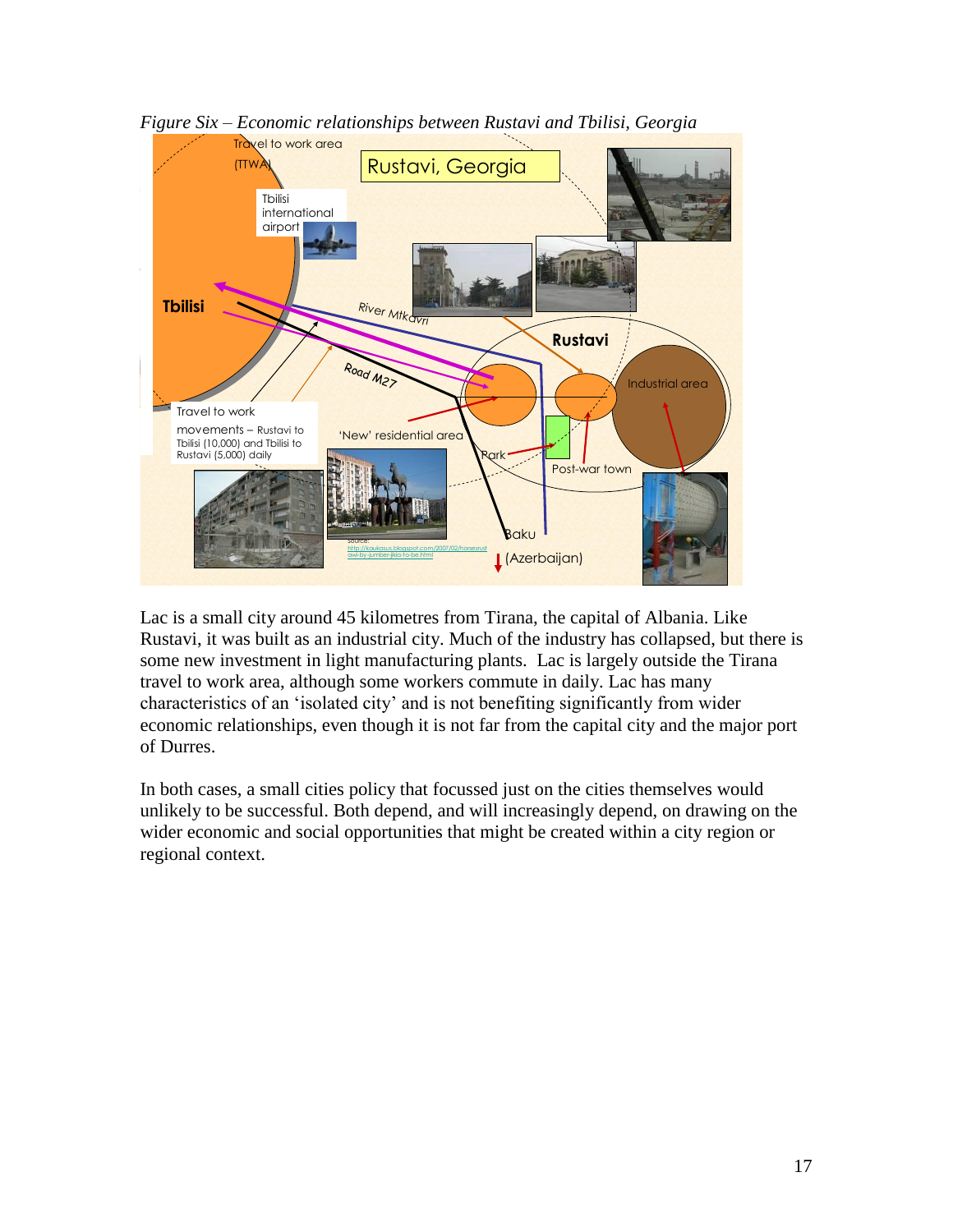

*Figure Six – Economic relationships between Rustavi and Tbilisi, Georgia*

Lac is a small city around 45 kilometres from Tirana, the capital of Albania. Like Rustavi, it was built as an industrial city. Much of the industry has collapsed, but there is some new investment in light manufacturing plants. Lac is largely outside the Tirana travel to work area, although some workers commute in daily. Lac has many characteristics of an "isolated city" and is not benefiting significantly from wider economic relationships, even though it is not far from the capital city and the major port of Durres.

In both cases, a small cities policy that focussed just on the cities themselves would unlikely to be successful. Both depend, and will increasingly depend, on drawing on the wider economic and social opportunities that might be created within a city region or regional context.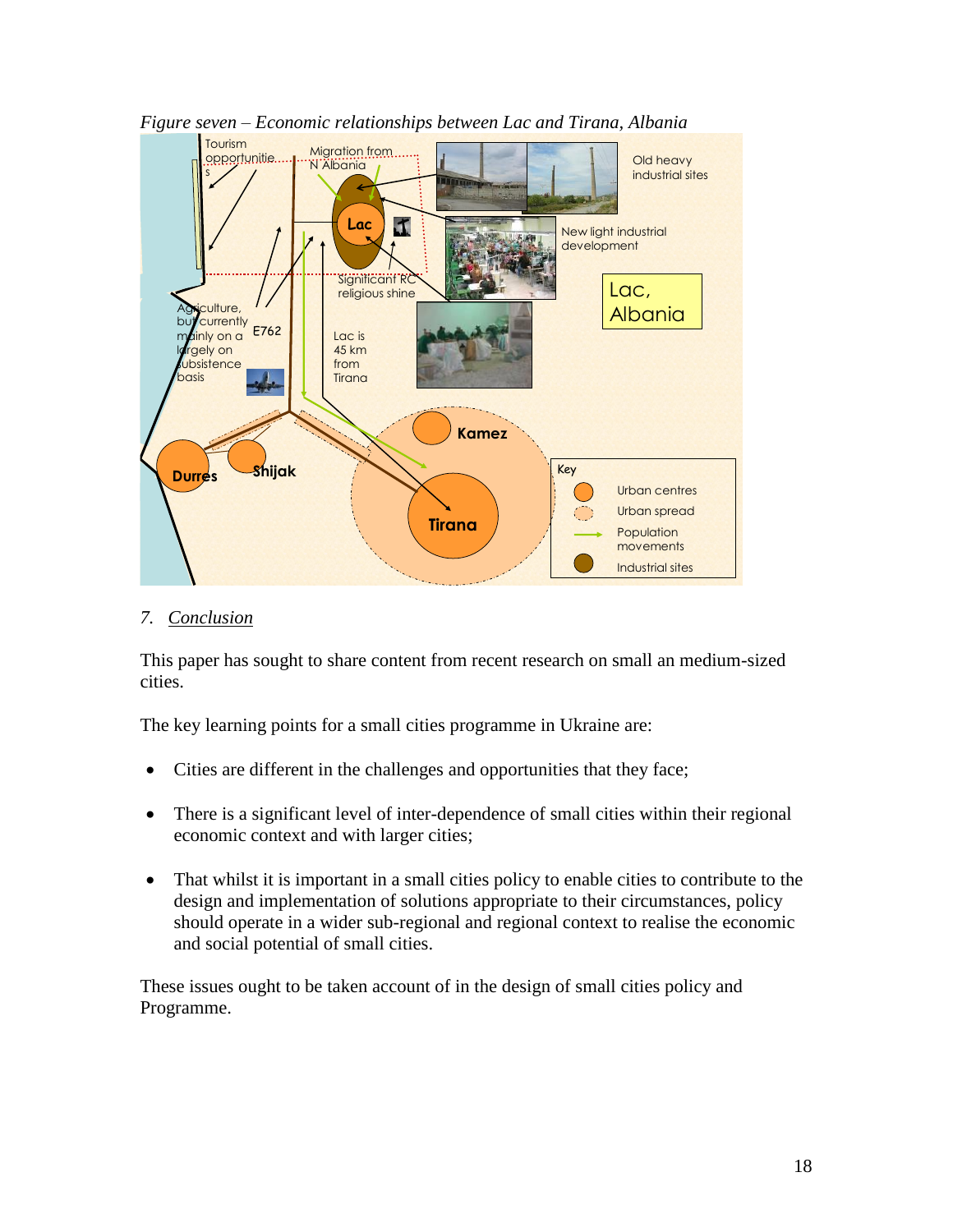

*Figure seven – Economic relationships between Lac and Tirana, Albania*

#### *7. Conclusion*

This paper has sought to share content from recent research on small an medium-sized cities.

The key learning points for a small cities programme in Ukraine are:

- Cities are different in the challenges and opportunities that they face;
- There is a significant level of inter-dependence of small cities within their regional economic context and with larger cities;
- That whilst it is important in a small cities policy to enable cities to contribute to the design and implementation of solutions appropriate to their circumstances, policy should operate in a wider sub-regional and regional context to realise the economic and social potential of small cities.

These issues ought to be taken account of in the design of small cities policy and Programme.